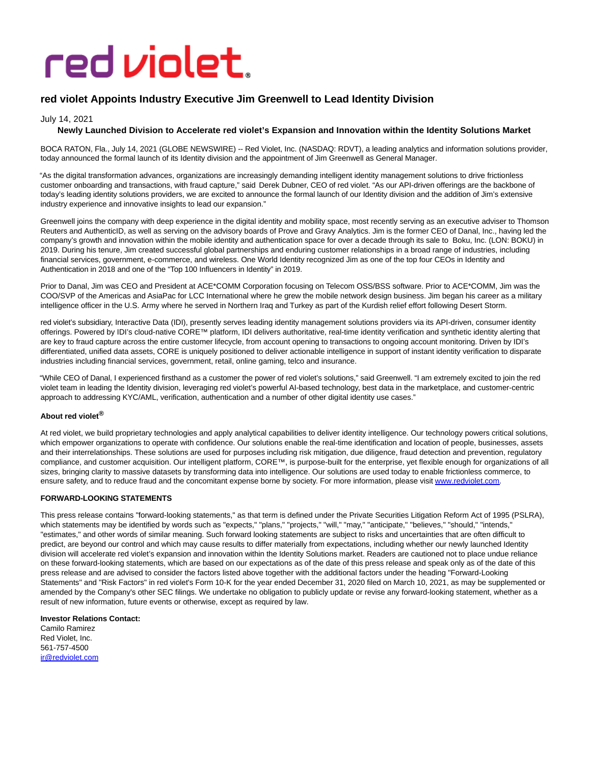# red violet.

# **red violet Appoints Industry Executive Jim Greenwell to Lead Identity Division**

# July 14, 2021

# **Newly Launched Division to Accelerate red violet's Expansion and Innovation within the Identity Solutions Market**

BOCA RATON, Fla., July 14, 2021 (GLOBE NEWSWIRE) -- Red Violet, Inc. (NASDAQ: RDVT), a leading analytics and information solutions provider, today announced the formal launch of its Identity division and the appointment of Jim Greenwell as General Manager.

"As the digital transformation advances, organizations are increasingly demanding intelligent identity management solutions to drive frictionless customer onboarding and transactions, with fraud capture," said Derek Dubner, CEO of red violet. "As our API-driven offerings are the backbone of today's leading identity solutions providers, we are excited to announce the formal launch of our Identity division and the addition of Jim's extensive industry experience and innovative insights to lead our expansion."

Greenwell joins the company with deep experience in the digital identity and mobility space, most recently serving as an executive adviser to Thomson Reuters and AuthenticID, as well as serving on the advisory boards of Prove and Gravy Analytics. Jim is the former CEO of Danal, Inc., having led the company's growth and innovation within the mobile identity and authentication space for over a decade through its sale to Boku, Inc. (LON: BOKU) in 2019. During his tenure, Jim created successful global partnerships and enduring customer relationships in a broad range of industries, including financial services, government, e-commerce, and wireless. One World Identity recognized Jim as one of the top four CEOs in Identity and Authentication in 2018 and one of the "Top 100 Influencers in Identity" in 2019.

Prior to Danal, Jim was CEO and President at ACE\*COMM Corporation focusing on Telecom OSS/BSS software. Prior to ACE\*COMM, Jim was the COO/SVP of the Americas and AsiaPac for LCC International where he grew the mobile network design business. Jim began his career as a military intelligence officer in the U.S. Army where he served in Northern Iraq and Turkey as part of the Kurdish relief effort following Desert Storm.

red violet's subsidiary, Interactive Data (IDI), presently serves leading identity management solutions providers via its API-driven, consumer identity offerings. Powered by IDI's cloud-native CORE™ platform, IDI delivers authoritative, real-time identity verification and synthetic identity alerting that are key to fraud capture across the entire customer lifecycle, from account opening to transactions to ongoing account monitoring. Driven by IDI's differentiated, unified data assets, CORE is uniquely positioned to deliver actionable intelligence in support of instant identity verification to disparate industries including financial services, government, retail, online gaming, telco and insurance.

"While CEO of Danal, I experienced firsthand as a customer the power of red violet's solutions," said Greenwell. "I am extremely excited to join the red violet team in leading the Identity division, leveraging red violet's powerful AI-based technology, best data in the marketplace, and customer-centric approach to addressing KYC/AML, verification, authentication and a number of other digital identity use cases."

## **About red violet®**

At red violet, we build proprietary technologies and apply analytical capabilities to deliver identity intelligence. Our technology powers critical solutions, which empower organizations to operate with confidence. Our solutions enable the real-time identification and location of people, businesses, assets and their interrelationships. These solutions are used for purposes including risk mitigation, due diligence, fraud detection and prevention, regulatory compliance, and customer acquisition. Our intelligent platform, CORE™, is purpose-built for the enterprise, yet flexible enough for organizations of all sizes, bringing clarity to massive datasets by transforming data into intelligence. Our solutions are used today to enable frictionless commerce, to ensure safety, and to reduce fraud and the concomitant expense borne by society. For more information, please visit [www.redviolet.com.](https://www.globenewswire.com/Tracker?data=nsv2uM48VnXEi3EmRcVvpuIgLGTVXIUxBY8ZjLUlWY_IbsVosWfIZB_5z2Ko5lLemutH5U4ow_TOzHLT4uAx-A==)

## **FORWARD-LOOKING STATEMENTS**

This press release contains "forward-looking statements," as that term is defined under the Private Securities Litigation Reform Act of 1995 (PSLRA), which statements may be identified by words such as "expects," "plans," "projects," "will," "may," "anticipate," "believes," "should," "intends," "estimates," and other words of similar meaning. Such forward looking statements are subject to risks and uncertainties that are often difficult to predict, are beyond our control and which may cause results to differ materially from expectations, including whether our newly launched Identity division will accelerate red violet's expansion and innovation within the Identity Solutions market. Readers are cautioned not to place undue reliance on these forward-looking statements, which are based on our expectations as of the date of this press release and speak only as of the date of this press release and are advised to consider the factors listed above together with the additional factors under the heading "Forward-Looking Statements" and "Risk Factors" in red violet's Form 10-K for the year ended December 31, 2020 filed on March 10, 2021, as may be supplemented or amended by the Company's other SEC filings. We undertake no obligation to publicly update or revise any forward-looking statement, whether as a result of new information, future events or otherwise, except as required by law.

## **Investor Relations Contact:**

Camilo Ramirez Red Violet, Inc. 561-757-4500 [ir@redviolet.com](https://www.globenewswire.com/Tracker?data=HtS4JDZuLbGtxfIni694Gntz8h2StpEbp4zqGoxonWYqfuoibbitb_PA-5eAFlwezsh7w0NRkLrxIjJMMNF44w==)